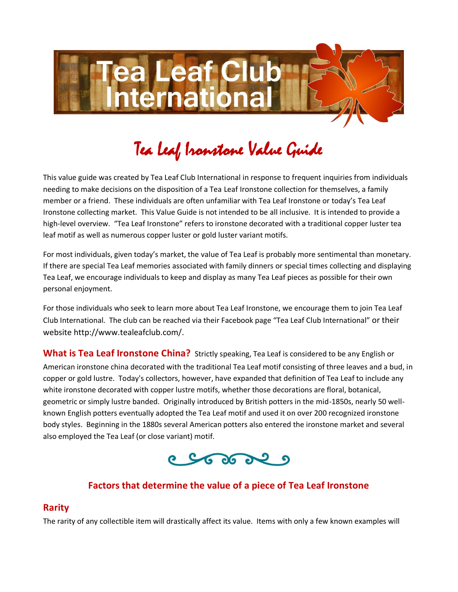

# Tea Leaf Ironstone Value Guide

This value guide was created by Tea Leaf Club International in response to frequent inquiries from individuals needing to make decisions on the disposition of a Tea Leaf Ironstone collection for themselves, a family member or a friend. These individuals are often unfamiliar with Tea Leaf Ironstone or today's Tea Leaf Ironstone collecting market. This Value Guide is not intended to be all inclusive. It is intended to provide a high-level overview. "Tea Leaf Ironstone" refers to ironstone decorated with a traditional copper luster tea leaf motif as well as numerous copper luster or gold luster variant motifs.

For most individuals, given today's market, the value of Tea Leaf is probably more sentimental than monetary. If there are special Tea Leaf memories associated with family dinners or special times collecting and displaying Tea Leaf, we encourage individuals to keep and display as many Tea Leaf pieces as possible for their own personal enjoyment.

For those individuals who seek to learn more about Tea Leaf Ironstone, we encourage them to join Tea Leaf Club International. The club can be reached via their Facebook page "Tea Leaf Club International" or their website http://www.tealeafclub.com/.

**What is Tea Leaf Ironstone China?** Strictly speaking, Tea Leaf is considered to be any English or American ironstone china decorated with the traditional Tea Leaf motif consisting of three leaves and a bud, in copper or gold lustre. Today's collectors, however, have expanded that definition of Tea Leaf to include any white ironstone decorated with copper lustre motifs, whether those decorations are floral, botanical, geometric or simply lustre banded. Originally introduced by British potters in the mid-1850s, nearly 50 wellknown English potters eventually adopted the Tea Leaf motif and used it on over 200 recognized ironstone body styles. Beginning in the 1880s several American potters also entered the ironstone market and several also employed the Tea Leaf (or close variant) motif.



# **Factors that determine the value of a piece of Tea Leaf Ironstone**

## **Rarity**

The rarity of any collectible item will drastically affect its value. Items with only a few known examples will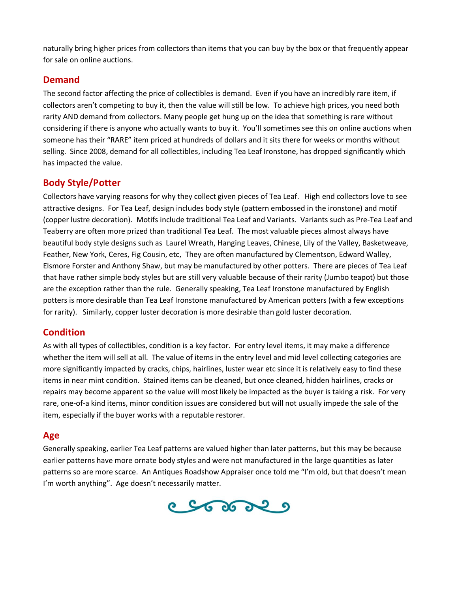naturally bring higher prices from collectors than items that you can buy by the box or that frequently appear for sale on online auctions.

## **Demand**

The second factor affecting the price of collectibles is demand. Even if you have an incredibly rare item, if collectors aren't competing to buy it, then the value will still be low. To achieve high prices, you need both rarity AND demand from collectors. Many people get hung up on the idea that something is rare without considering if there is anyone who actually wants to buy it. You'll sometimes see this on online auctions when someone has their "RARE" item priced at hundreds of dollars and it sits there for weeks or months without selling. Since 2008, demand for all collectibles, including Tea Leaf Ironstone, has dropped significantly which has impacted the value.

# **Body Style/Potter**

Collectors have varying reasons for why they collect given pieces of Tea Leaf. High end collectors love to see attractive designs. For Tea Leaf, design includes body style (pattern embossed in the ironstone) and motif (copper lustre decoration). Motifs include traditional Tea Leaf and Variants. Variants such as Pre-Tea Leaf and Teaberry are often more prized than traditional Tea Leaf. The most valuable pieces almost always have beautiful body style designs such as Laurel Wreath, Hanging Leaves, Chinese, Lily of the Valley, Basketweave, Feather, New York, Ceres, Fig Cousin, etc, They are often manufactured by Clementson, Edward Walley, Elsmore Forster and Anthony Shaw, but may be manufactured by other potters. There are pieces of Tea Leaf that have rather simple body styles but are still very valuable because of their rarity (Jumbo teapot) but those are the exception rather than the rule. Generally speaking, Tea Leaf Ironstone manufactured by English potters is more desirable than Tea Leaf Ironstone manufactured by American potters (with a few exceptions for rarity). Similarly, copper luster decoration is more desirable than gold luster decoration.

## **Condition**

As with all types of collectibles, condition is a key factor. For entry level items, it may make a difference whether the item will sell at all. The value of items in the entry level and mid level collecting categories are more significantly impacted by cracks, chips, hairlines, luster wear etc since it is relatively easy to find these items in near mint condition. Stained items can be cleaned, but once cleaned, hidden hairlines, cracks or repairs may become apparent so the value will most likely be impacted as the buyer is taking a risk. For very rare, one-of-a kind items, minor condition issues are considered but will not usually impede the sale of the item, especially if the buyer works with a reputable restorer.

## **Age**

Generally speaking, earlier Tea Leaf patterns are valued higher than later patterns, but this may be because earlier patterns have more ornate body styles and were not manufactured in the large quantities as later patterns so are more scarce. An Antiques Roadshow Appraiser once told me "I'm old, but that doesn't mean I'm worth anything". Age doesn't necessarily matter.

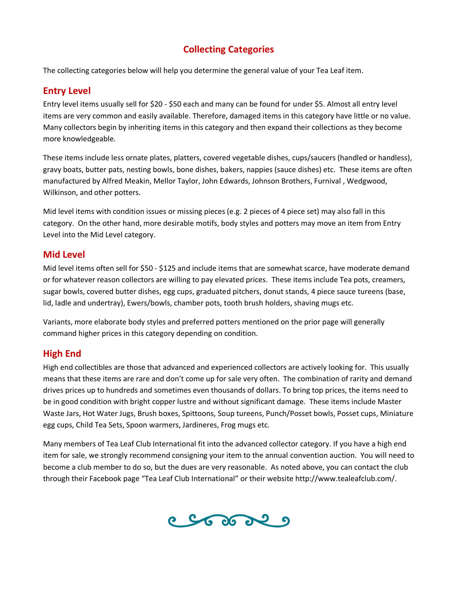# **Collecting Categories**

The collecting categories below will help you determine the general value of your Tea Leaf item.

### **Entry Level**

Entry level items usually sell for \$20 - \$50 each and many can be found for under \$5. Almost all entry level items are very common and easily available. Therefore, damaged items in this category have little or no value. Many collectors begin by inheriting items in this category and then expand their collections as they become more knowledgeable.

These items include less ornate plates, platters, covered vegetable dishes, cups/saucers (handled or handless), gravy boats, butter pats, nesting bowls, bone dishes, bakers, nappies (sauce dishes) etc. These items are often manufactured by Alfred Meakin, Mellor Taylor, John Edwards, Johnson Brothers, Furnival , Wedgwood, Wilkinson, and other potters.

Mid level items with condition issues or missing pieces (e.g. 2 pieces of 4 piece set) may also fall in this category. On the other hand, more desirable motifs, body styles and potters may move an item from Entry Level into the Mid Level category.

#### **Mid Level**

Mid level items often sell for \$50 - \$125 and include items that are somewhat scarce, have moderate demand or for whatever reason collectors are willing to pay elevated prices. These items include Tea pots, creamers, sugar bowls, covered butter dishes, egg cups, graduated pitchers, donut stands, 4 piece sauce tureens (base, lid, ladle and undertray), Ewers/bowls, chamber pots, tooth brush holders, shaving mugs etc.

Variants, more elaborate body styles and preferred potters mentioned on the prior page will generally command higher prices in this category depending on condition.

## **High End**

High end collectibles are those that advanced and experienced collectors are actively looking for. This usually means that these items are rare and don't come up for sale very often. The combination of rarity and demand drives prices up to hundreds and sometimes even thousands of dollars. To bring top prices, the items need to be in good condition with bright copper lustre and without significant damage. These items include Master Waste Jars, Hot Water Jugs, Brush boxes, Spittoons, Soup tureens, Punch/Posset bowls, Posset cups, Miniature egg cups, Child Tea Sets, Spoon warmers, Jardineres, Frog mugs etc.

Many members of Tea Leaf Club International fit into the advanced collector category. If you have a high end item for sale, we strongly recommend consigning your item to the annual convention auction. You will need to become a club member to do so, but the dues are very reasonable. As noted above, you can contact the club through their Facebook page "Tea Leaf Club International" or their website http://www.tealeafclub.com/.

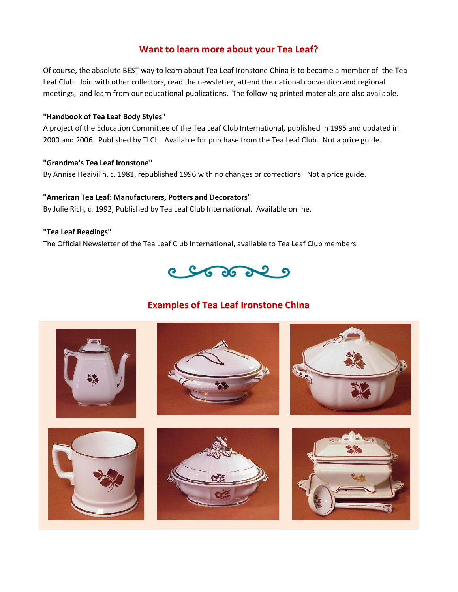# **Want to learn more about your Tea Leaf?**

Of course, the absolute BEST way to learn about Tea Leaf Ironstone China is to become a member of the Tea Leaf Club. Join with other collectors, read the newsletter, attend the national convention and regional meetings, and learn from our educational publications. The following printed materials are also available.

#### **"Handbook of Tea Leaf Body Styles"**

A project of the Education Committee of the Tea Leaf Club International, published in 1995 and updated in 2000 and 2006. Published by TLCI. Available for purchase from the Tea Leaf Club. Not a price guide.

#### **"Grandma's Tea Leaf Ironstone"**

By Annise Heaivilin, c. 1981, republished 1996 with no changes or corrections. Not a price guide.

#### **"American Tea Leaf: Manufacturers, Potters and Decorators"**

By Julie Rich, c. 1992, Published by Tea Leaf Club International. Available online.

#### **"Tea Leaf Readings"**

The Official Newsletter of the Tea Leaf Club International, available to Tea Leaf Club members



## **Examples of Tea Leaf Ironstone China**

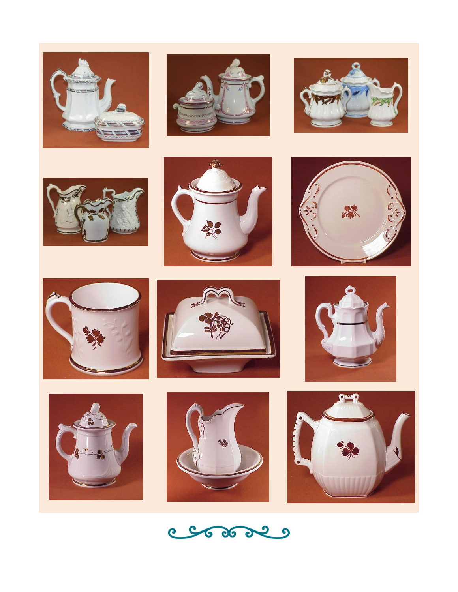























come